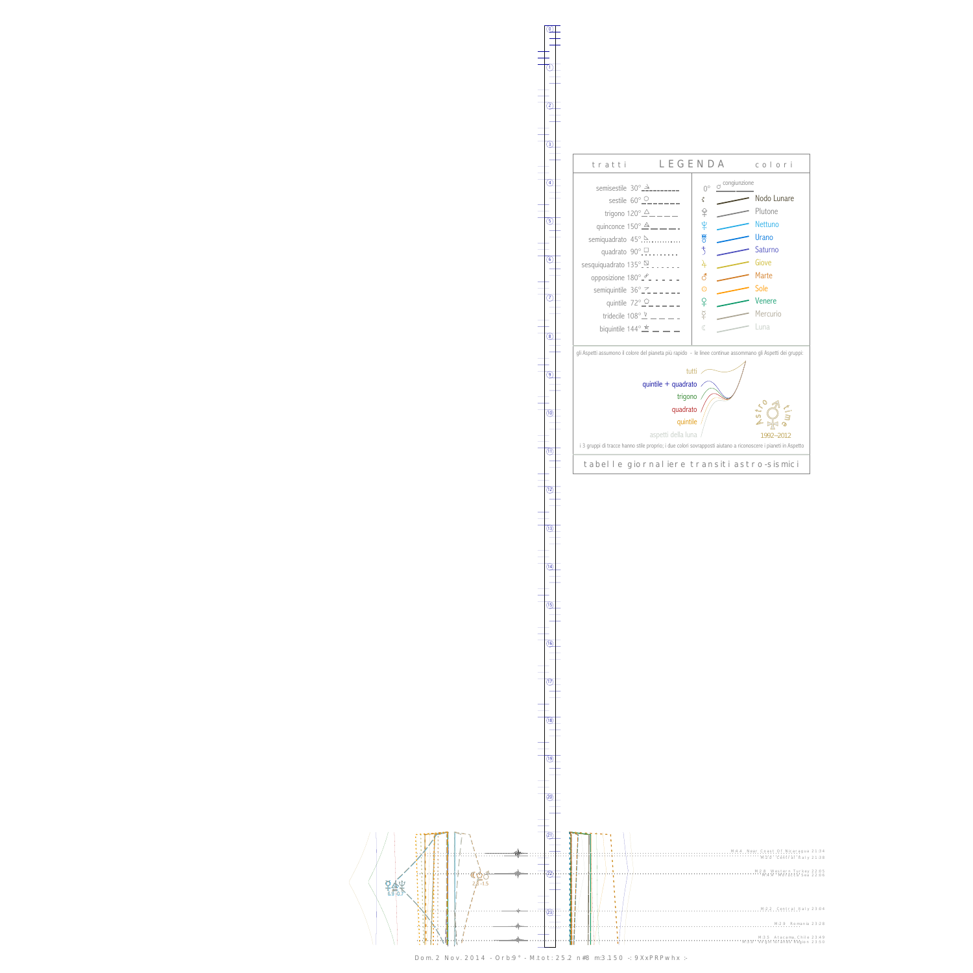